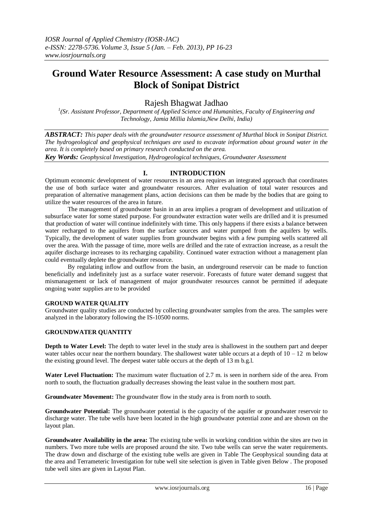# **Ground Water Resource Assessment: A case study on Murthal Block of Sonipat District**

## Rajesh Bhagwat Jadhao

<sup>1</sup>(Sr. Assistant Professor, Department of Applied Science and Humanities, Faculty of Engineering and *Technology, Jamia Millia Islamia,New Delhi, India)*

*ABSTRACT: This paper deals with the groundwater resource assessment of Murthal block in Sonipat District. The hydrogeological and geophysical techniques are used to excavate information about ground water in the area. It is completely based on primary research conducted on the area. Key Words: Geophysical Investigation, Hydrogeological techniques, Groundwater Assessment*

### **I. INTRODUCTION**

Optimum economic development of water resources in an area requires an integrated approach that coordinates the use of both surface water and groundwater resources. After evaluation of total water resources and preparation of alternative management plans, action decisions can then be made by the bodies that are going to utilize the water resources of the area in future.

The management of groundwater basin in an area implies a program of development and utilization of subsurface water for some stated purpose. For groundwater extraction water wells are drilled and it is presumed that production of water will continue indefinitely with time. This only happens if there exists a balance between water recharged to the aquifers from the surface sources and water pumped from the aquifers by wells. Typically, the development of water supplies from groundwater begins with a few pumping wells scattered all over the area. With the passage of time, more wells are drilled and the rate of extraction increase, as a result the aquifer discharge increases to its recharging capability. Continued water extraction without a management plan could eventually deplete the groundwater resource.

By regulating inflow and outflow from the basin, an underground reservoir can be made to function beneficially and indefinitely just as a surface water reservoir. Forecasts of future water demand suggest that mismanagement or lack of management of major groundwater resources cannot be permitted if adequate ongoing water supplies are to be provided

#### **GROUND WATER QUALITY**

Groundwater quality studies are conducted by collecting groundwater samples from the area. The samples were analyzed in the laboratory following the IS-10500 norms.

#### **GROUNDWATER QUANTITY**

**Depth to Water Level:** The depth to water level in the study area is shallowest in the southern part and deeper water tables occur near the northern boundary. The shallowest water table occurs at a depth of  $10 - 12$  m below the existing ground level. The deepest water table occurs at the depth of 13 m b.g.l.

**Water Level Fluctuation:** The maximum water fluctuation of 2.7 m. is seen in northern side of the area. From north to south, the fluctuation gradually decreases showing the least value in the southern most part.

**Groundwater Movement:** The groundwater flow in the study area is from north to south.

**Groundwater Potential:** The groundwater potential is the capacity of the aquifer or groundwater reservoir to discharge water. The tube wells have been located in the high groundwater potential zone and are shown on the layout plan.

**Groundwater Availability in the area:** The existing tube wells in working condition within the sites are two in numbers. Two more tube wells are proposed around the site. Two tube wells can serve the water requirements. The draw down and discharge of the existing tube wells are given in Table The Geophysical sounding data at the area and Terrameteric Investigation for tube well site selection is given in Table given Below . The proposed tube well sites are given in Layout Plan.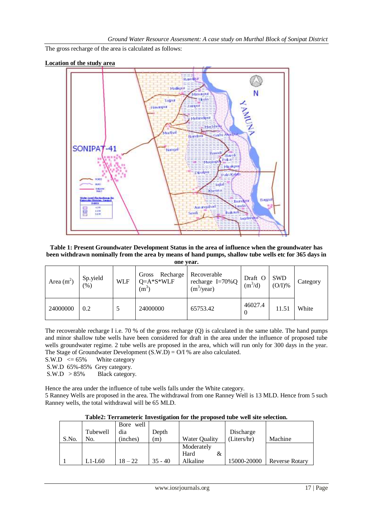The gross recharge of the area is calculated as follows:





**Table 1: Present Groundwater Development Status in the area of influence when the groundwater has been withdrawn nominally from the area by means of hand pumps, shallow tube wells etc for 365 days in** 

| Area $(m2)$ | Sp.yield<br>(%) | <b>WLF</b> | Recharge<br>Gross<br>$Q=A*S^*WLF$<br>$(m^{\prime})$ | Recoverable<br>recharge $I=70\%$ Q<br>$(m^3$ /year) | Draft O<br>$(m^3/d)$ | <b>SWD</b><br>$(O/I)\%$ | Category |
|-------------|-----------------|------------|-----------------------------------------------------|-----------------------------------------------------|----------------------|-------------------------|----------|
| 24000000    | 0.2             |            | 24000000                                            | 65753.42                                            | 46027.4<br>$\theta$  | 11.51                   | White    |

The recoverable recharge I i.e. 70 % of the gross recharge (Q) is calculated in the same table. The hand pumps and minor shallow tube wells have been considered for draft in the area under the influence of proposed tube wells groundwater regime. 2 tube wells are proposed in the area, which will run only for 300 days in the year. The Stage of Groundwater Development  $(S.W.D) = O/I$  % are also calculated.

 $S.W.D \le 65\%$  White category

S.W.D 65%-85% Grey category.

S.W.D > 85% Black category.

Hence the area under the influence of tube wells falls under the White category.

5 Ranney Wells are proposed in the area. The withdrawal from one Ranney Well is 13 MLD. Hence from 5 such Ranney wells, the total withdrawal will be 65 MLD.

| Table2: Terrameteric Investigation for the proposed tube well site selection. |  |
|-------------------------------------------------------------------------------|--|
|-------------------------------------------------------------------------------|--|

|       |          | Bore well |           |               |             |                       |
|-------|----------|-----------|-----------|---------------|-------------|-----------------------|
|       | Tubewell | dia       | Depth     |               | Discharge   |                       |
| S.No. | No.      | (inches)  | (m)       | Water Quality | (Liters/hr) | Machine               |
|       |          |           |           | Moderately    |             |                       |
|       |          |           |           | Hard<br>&     |             |                       |
|       | $L1-L60$ | $18 - 22$ | $35 - 40$ | Alkaline      | 15000-20000 | <b>Reverse Rotary</b> |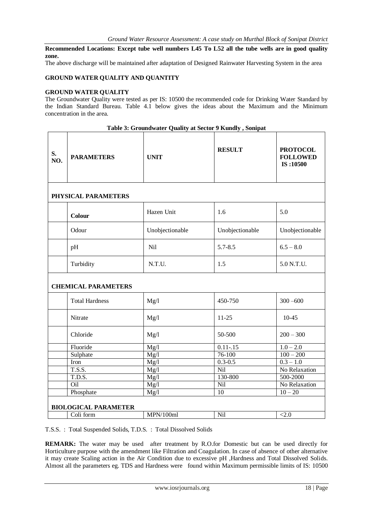**Recommended Locations: Except tube well numbers L45 To L52 all the tube wells are in good quality zone.**

The above discharge will be maintained after adaptation of Designed Rainwater Harvesting System in the area

#### **GROUND WATER QUALITY AND QUANTITY**

#### **GROUND WATER QUALITY**

The Groundwater Quality were tested as per IS: 10500 the recommended code for Drinking Water Standard by the Indian Standard Bureau. Table 4.1 below gives the ideas about the Maximum and the Minimum concentration in the area.

| S.<br>NO. | <b>PARAMETERS</b>                        | <b>UNIT</b>               | <b>RESULT</b>   | <b>PROTOCOL</b><br><b>FOLLOWED</b><br>IS:10500 |
|-----------|------------------------------------------|---------------------------|-----------------|------------------------------------------------|
|           | PHYSICAL PARAMETERS                      |                           |                 |                                                |
|           | Colour                                   | Hazen Unit                | 1.6             | 5.0                                            |
|           | Odour                                    | Unobjectionable           | Unobjectionable | Unobjectionable                                |
|           | pH                                       | Nil                       | $5.7 - 8.5$     | $6.5 - 8.0$                                    |
|           | Turbidity                                | N.T.U.                    | 1.5             | 5.0 N.T.U.                                     |
|           | <b>CHEMICAL PARAMETERS</b>               |                           |                 |                                                |
|           | <b>Total Hardness</b>                    | Mg/l                      | 450-750         | $300 - 600$                                    |
|           | Nitrate                                  | Mg/l                      | $11 - 25$       | $10 - 45$                                      |
|           | Chloride                                 | Mg/l                      | 50-500          | $200 - 300$                                    |
|           | Fluoride                                 | Mg/l                      | $0.11 - 15$     | $1.0 - 2.0$                                    |
|           | Sulphate                                 | $\overline{\text{Mg}}$ /l | $76 - 100$      | $100 - 200$                                    |
|           | Iron                                     | Mg/l                      | $0.3 - 0.5$     | $0.3 - 1.0$<br>No Relaxation                   |
|           | T.S.S.                                   | Mg/l                      | Nil             |                                                |
|           | T.D.S.                                   | Mg/l                      | 130-800         | 500-2000                                       |
|           | Oil                                      | Mg/l                      | Nil             | No Relaxation                                  |
|           | Phosphate                                | Mg/l                      | 10              | $10 - 20$                                      |
|           |                                          |                           |                 |                                                |
|           | <b>BIOLOGICAL PARAMETER</b><br>Coli form | MPN/100ml                 | Nil             | < 2.0                                          |
|           |                                          |                           |                 |                                                |

**Table 3: Groundwater Quality at Sector 9 Kundly , Sonipat**

T.S.S. : Total Suspended Solids, T.D.S. : Total Dissolved Solids

**REMARK:** The water may be used after treatment by R.O.for Domestic but can be used directly for Horticulture purpose with the amendment like Filtration and Coagulation. In case of absence of other alternative it may create Scaling action in the Air Condition due to excessive pH ,Hardness and Total Dissolved Solids. Almost all the parameters eg. TDS and Hardness were found within Maximum permissible limits of IS: 10500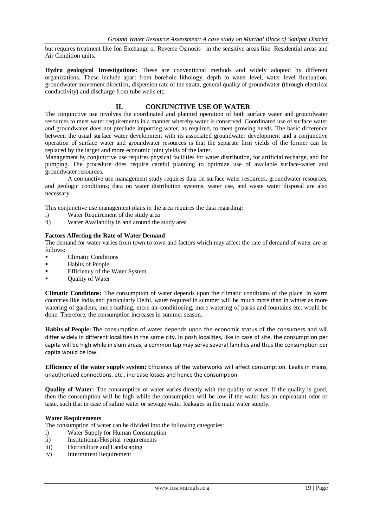but requires treatment like Ion Exchange or Reverse Osmosis in the sensitive areas like Residential areas and Air Condition units.

**Hydro geological Investigations:** These are conventional methods and widely adopted by different organizations. These include apart from borehole lithology, depth to water level, water level fluctuation, groundwater movement direction, dispersion rate of the strata, general quality of groundwater (through electrical conductivity) and discharge from tube wells etc.

#### **II. CONJUNCTIVE USE OF WATER**

The conjunctive use involves the coordinated and planned operation of both surface water and groundwater resources to meet water requirements in a manner whereby water is conserved. Coordinated use of surface water and groundwater does not preclude importing water, as required, to meet growing needs. The basic difference between the usual surface water development with its associated groundwater development and a conjunctive operation of surface water and groundwater resources is that the separate firm yields of the former can be replaced by the larger and more economic joint yields of the latter.

Management by conjunctive use requires physical facilities for water distribution, for artificial recharge, and for pumping. The procedure does require careful planning to optimize use of available surface-water and groundwater resources.

A conjunctive use management study requires data on surface water resources, groundwater resources, and geologic conditions; data on water distribution systems, water use, and waste water disposal are also necessary.

This conjunctive use management plans in the area requires the data regarding:

- i) Water Requirement of the study area
- ii) Water Availability in and around the study area

#### **Factors Affecting the Rate of Water Demand**

The demand for water varies from town to town and factors which may affect the rate of demand of water are as follows:

- Climatic Conditions
- Habits of People
- Efficiency of the Water System
- Quality of Water

**Climatic Conditions:** The consumption of water depends upon the climatic conditions of the place. In warm countries like India and particularly Delhi, water required in summer will be much more than in winter as more watering of gardens, more bathing, more air-conditioning, more watering of parks and fountains etc. would be done. Therefore, the consumption increases in summer season.

**Habits of People:** The consumption of water depends upon the economic status of the consumers and will differ widely in different localities in the same city. In posh localities, like in case of site, the consumption per capita will be high while in slum areas, a common tap may serve several families and thus the consumption per capita would be low.

**Efficiency of the water supply system:** Efficiency of the waterworks will affect consumption. Leaks in mains, unauthorized connections, etc., increase losses and hence the consumption.

**Quality of Water:** The consumption of water varies directly with the quality of water. If the quality is good, then the consumption will be high while the consumption will be low if the water has an unpleasant odor or taste, such that in case of saline water or sewage water leakages in the main water supply.

#### **Water Requirements**

The consumption of water can be divided into the following categories:

- i) Water Supply for Human Consumption
- ii) Institutional/Hospital requirements
- iii) Horticulture and Landscaping
- iv) Intermittent Requirement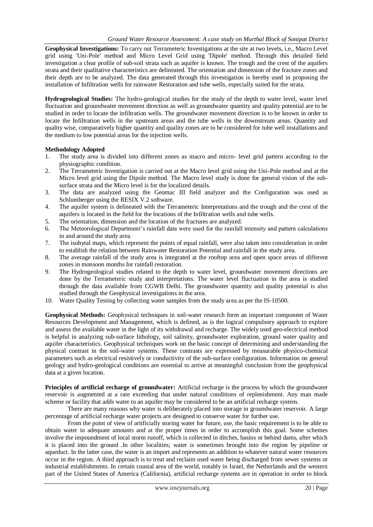**Geophysical Investigations:** To carry out Terrameteric Investigations at the site at two levels, i.e., Macro Level grid using 'Uni-Pole' method and Micro Level Grid using 'Dipole' method. Through this detailed field investigation a clear profile of sub-soil strata such as aquifer is known. The trough and the crest of the aquifers strata and their qualitative characteristics are delineated. The orientation and dimension of the fracture zones and their depth are to be analyzed. The data generated through this investigation is hereby used in proposing the installation of Infiltration wells for rainwater Restoration and tube wells, especially suited for the strata.

**Hydrogeological Studies:** The hydro-geological studies for the study of the depth to water level, water level fluctuation and groundwater movement direction as well as groundwater quantity and quality potential are to be studied in order to locate the infiltration wells. The groundwater movement direction is to be known in order to locate the Infiltration wells in the upstream areas and the tube wells in the downstream areas. Quantity and quality wise, comparatively higher quantity and quality zones are to be considered for tube well installations and the medium to low potential areas for the injection wells.

#### **Methodology Adopted**

- 1. The study area is divided into different zones as macro and micro- level grid pattern according to the physiographic condition.
- 2. The Terrameteric Investigation is carried out at the Macro level grid using the Uni-Pole method and at the Micro level grid using the Dipole method. The Macro level study is done for general vision of the subsurface strata and the Micro level is for the localized details.
- 3. The data are analyzed using the Geomac III field analyzer and the Configuration was used as Schlumberger using the RESIX V.2 software.
- 4. The aquifer system is delineated with the Terrameteric Interpretations and the trough and the crest of the aquifers is located in the field for the locations of the Infiltration wells and tube wells.
- 5. The orientation, dimension and the location of the fractures are analyzed.
- 6. The Meteorological Department's rainfall data were used for the rainfall intensity and pattern calculations in and around the study area.
- 7. The isohytal maps, which represent the points of equal rainfall, were also taken into consideration in order to establish the relation between Rainwater Restoration Potential and rainfall in the study area.
- 8. The average rainfall of the study area is integrated at the rooftop area and open space areas of different zones in monsoon months for rainfall restoration.
- 9. The Hydrogeological studies related to the depth to water level, groundwater movement directions are done by the Terrameteric study and interpretations. The water level fluctuation in the area is studied through the data available from CGWB Delhi. The groundwater quantity and quality potential is also studied through the Geophysical investigations in the area.
- 10. Water Quality Testing by collecting water samples from the study area as per the IS-10500.

**Geophysical Methods:** Geophysical techniques in soil-water research form an important component of Water Resources Development and Management, which is defined, as is the logical compulsory approach to explore and assess the available water in the light of its withdrawal and recharge. The widely used geo-electrical method is helpful in analyzing sub-surface lithology, soil salinity, groundwater exploration, ground water quality and aquifer characteristics. Geophysical techniques work on the basic concept of determining and understanding the physical contrast in the soil-water systems. These contrasts are expressed by measurable physico-chemical parameters such as electrical resistively or conductivity of the sub-surface configuration. Information on general geology and hydro-geological conditions are essential to arrive at meaningful conclusion from the geophysical data at a given location.

**Principles of artificial recharge of groundwater:** Artificial recharge is the process by which the groundwater reservoir is augmented at a rate exceeding that under natural conditions of replenishment. Any man made scheme or facility that adds water to an aquifer may be considered to be an artificial recharge system.

There are many reasons why water is deliberately placed into storage in groundwater reservoir. A large percentage of artificial recharge water projects are designed to conserve water for further use.

From the point of view of artificially storing water for future, use, the basic requirement is to be able to obtain water in adequate amounts and at the proper times in order to accomplish this goal. Some schemes involve the impoundment of local storm runoff, which is collected in ditches, basins or behind dams, after which it is placed into the ground .In other localities; water is sometimes brought into the region by pipeline or aqueduct. In the latter case, the water is an import and represents an addition to whatever natural water resources occur in the region. A third approach is to treat and reclaim used water being discharged from sewer systems or industrial establishments. In certain coastal area of the world, notably in Israel, the Netherlands and the western part of the United States of America (California), artificial recharge systems are in operation in order to block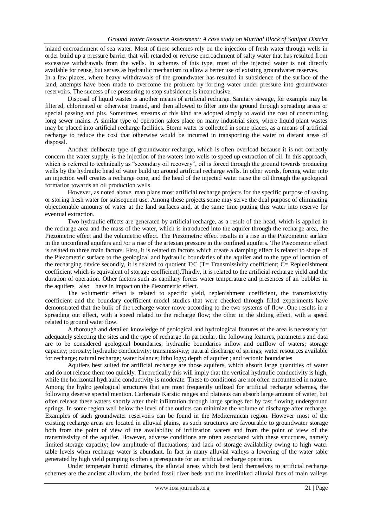inland encroachment of sea water. Most of these schemes rely on the injection of fresh water through wells in order build up a pressure barrier that will retarded or reverse encroachment of salty water that has resulted from excessive withdrawals from the wells. In schemes of this type, most of the injected water is not directly available for reuse, but serves as hydraulic mechanism to allow a better use of existing groundwater reserves. In a few places, where heavy withdrawals of the groundwater has resulted in subsidence of the surface of the land, attempts have been made to overcome the problem by forcing water under pressure into groundwater reservoirs. The success of re pressuring to stop subsidence is inconclusive.

Disposal of liquid wastes is another means of artificial recharge. Sanitary sewage, for example may be filtered, chlorinated or otherwise treated, and then allowed to filter into the ground through spreading areas or special passing and pits. Sometimes, streams of this kind are adopted simply to avoid the cost of constructing long sewer mains. A similar type of operation takes place on many industrial sites, where liquid plant wastes may be placed into artificial recharge facilities. Storm water is collected in some places, as a means of artificial recharge to reduce the cost that otherwise would be incurred in transporting the water to distant areas of disposal.

Another deliberate type of groundwater recharge, which is often overload because it is not correctly concern the water supply, is the injection of the waters into wells to speed up extraction of oil. In this approach, which is referred to technically as "secondary oil recovery", oil is forced through the ground towards producing wells by the hydraulic head of water build up around artificial recharge wells. In other words, forcing water into an injection well creates a recharge cone, and the head of the injected water raise the oil through the geological formation towards an oil production wells.

However, as noted above, man plans most artificial recharge projects for the specific purpose of saving or storing fresh water for subsequent use. Among these projects some may serve the dual purpose of eliminating objectionable amounts of water at the land surfaces and, at the same time putting this water into reserve for eventual extraction.

Two hydraulic effects are generated by artificial recharge, as a result of the head, which is applied in the recharge area and the mass of the water, which is introduced into the aquifer through the recharge area, the Piezometric effect and the volumetric effect. The Piezometric effect results in a rise in the Piezometric surface in the unconfined aquifers and /or a rise of the artesian pressure in the confined aquifers. The Piezometric effect is related to three main factors. First, it is related to factors which create a damping effect is related to shape of the Piezometric surface to the geological and hydraulic boundaries of the aquifer and to the type of location of the recharging device secondly, it is related to quotient T/C (T= Transmissivity coefficient; C= Replenishment coefficient which is equivalent of storage coefficient).Thirdly, it is related to the artificial recharge yield and the duration of operation. Other factors such as capillary forces water temperature and presences of air bubbles in the aquifers also have in impact on the Piezometric effect.

The volumetric effect is related to specific yield, replenishment coefficient, the transmissivity coefficient and the boundary coefficient model studies that were checked through filled experiments have demonstrated that the bulk of the recharge water move according to the two systems of flow .One results in a spreading out effect, with a speed related to the recharge flow; the other in the sliding effect, with a speed related to ground water flow.

A thorough and detailed knowledge of geological and hydrological features of the area is necessary for adequately selecting the sites and the type of recharge .In particular, the following features, parameters and data are to be considered geological boundaries; hydraulic boundaries inflow and outflow of waters; storage capacity; porosity; hydraulic conductivity; transmissivity; natural discharge of springs; water resources available for recharge; natural recharge; water balance; litho logy; depth of aquifer ; and tectonic boundaries

Aquifers best suited for artificial recharge are those aquifers, which absorb large quantities of water and do not release them too quickly. Theoretically this will imply that the vertical hydraulic conductivity is high, while the horizontal hydraulic conductivity is moderate. These to conditions are not often encountered in nature. Among the hydro geological structures that are most frequently utilized for artificial recharge schemes, the following deserve special mention. Carbonate Karstic ranges and plateaus can absorb large amount of water, but often release these waters shortly after their infiltration through large springs fed by fast flowing underground springs. In some region well below the level of the outlets can minimize the volume of discharge after recharge. Examples of such groundwater reservoirs can be found in the Mediterranean region. However most of the existing recharge areas are located in alluvial plains, as such structures are favourable to groundwater storage both from the point of view of the availability of infiltration waters and from the point of view of the transmissivity of the aquifer. However, adverse conditions are often associated with these structures, namely limited storage capacity; low amplitude of fluctuations; and lack of storage availability owing to high water table levels when recharge water is abundant. In fact in many alluvial valleys a lowering of the water table generated by high yield pumping is often a prerequisite for an artificial recharge operation.

Under temperate humid climates, the alluvial areas which best lend themselves to artificial recharge schemes are the ancient alluvium, the buried fossil river beds and the interlinked alluvial fans of main valleys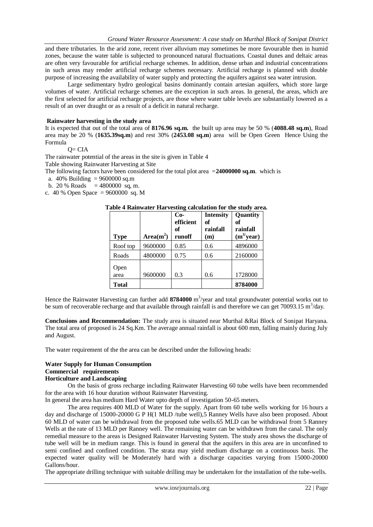and there tributaries. In the arid zone, recent river alluvium may sometimes be more favourable then in humid zones, because the water table is subjected to pronounced natural fluctuations. Coastal dunes and deltaic areas are often very favourable for artificial recharge schemes. In addition, dense urban and industrial concentrations in such areas may render artificial recharge schemes necessary. Artificial recharge is planned with double purpose of increasing the availability of water supply and protecting the aquifers against sea water intrusion.

Large sedimentary hydro geological basins dominantly contain artesian aquifers, which store large volumes of water. Artificial recharge schemes are the exception in such areas. In general, the areas, which are the first selected for artificial recharge projects, are those where water table levels are substantially lowered as a result of an over draught or as a result of a deficit in natural recharge.

#### **Rainwater harvesting in the study area**

It is expected that out of the total area of **8176.96 sq.m.** the built up area may be 50 % (**4088.48 sq.m**), Road area may be 20 % (**1635.39sq.m**) and rest 30% (**2453.08 sq.m**) area will be Open Green Hence Using the Formula

$$
Q = CIA
$$

The rainwater potential of the areas in the site is given in Table 4

Table showing Rainwater Harvesting at Site

The following factors have been considered for the total plot area =**24000000 sq.m**. which is

- a. 40% Building = 9600000 sq.m
- b. 20 % Roads  $= 4800000$  sq, m.

c. 40 % Open Space = 9600000 sq. M

#### **Table 4 Rainwater Harvesting calculation for the study area.**

| <b>Type</b>  | $Area(m^2)$ | $Co-$<br>efficient<br>of<br>runoff | <b>Intensity</b><br>of<br>rainfall<br>(m) | Quantity<br>оf<br>rainfall<br>$(m^{3}/year)$ |
|--------------|-------------|------------------------------------|-------------------------------------------|----------------------------------------------|
| Roof top     | 9600000     | 0.85                               | 0.6                                       | 4896000                                      |
| Roads        | 4800000     | 0.75                               | 0.6                                       | 2160000                                      |
| Open<br>area | 9600000     | 0.3                                | 0.6                                       | 1728000                                      |
| <b>Total</b> |             |                                    |                                           | 8784000                                      |

Hence the Rainwater Harvesting can further add 8784000 m<sup>3</sup>/year and total groundwater potential works out to be sum of recoverable recharge and that available through rainfall is and therefore we can get 70093.15  $\text{m}^3/\text{day}$ .

**Conclusions and Recommendation:** The study area is situated near Murthal &Rai Block of Sonipat Haryana. The total area of proposed is 24 Sq.Km. The average annual rainfall is about 600 mm, falling mainly during July and August.

The water requirement of the the area can be described under the following heads:

#### **Water Supply for Human Consumption**

## **Commercial requirements**

## **Horticulture and Landscaping**

On the basis of gross recharge including Rainwater Harvesting 60 tube wells have been recommended for the area with 16 hour duration without Rainwater Harvesting.

In general the area has medium Hard Water upto depth of investigation 50-65 meters.

The area requires 400 MLD of Water for the supply. Apart from 60 tube wells working for 16 hours a day and discharge of 15000-20000 G P H(1 MLD /tube well),5 Ranney Wells have also been proposed. About 60 MLD of water can be withdrawal from the proposed tube wells.65 MLD can be withdrawal from 5 Ranney Wells at the rate of 13 MLD per Ranney well. The remaining water can be withdrawn from the canal. The only remedial measure to the areas is Designed Rainwater Harvesting System. The study area shows the discharge of tube well will be in medium range. This is found in general that the aquifers in this area are in unconfined to semi confined and confined condition. The strata may yield medium discharge on a continuous basis. The expected water quality will be Moderately hard with a discharge capacities varying from 15000-20000 Gallons/hour.

The appropriate drilling technique with suitable drilling may be undertaken for the installation of the tube-wells.